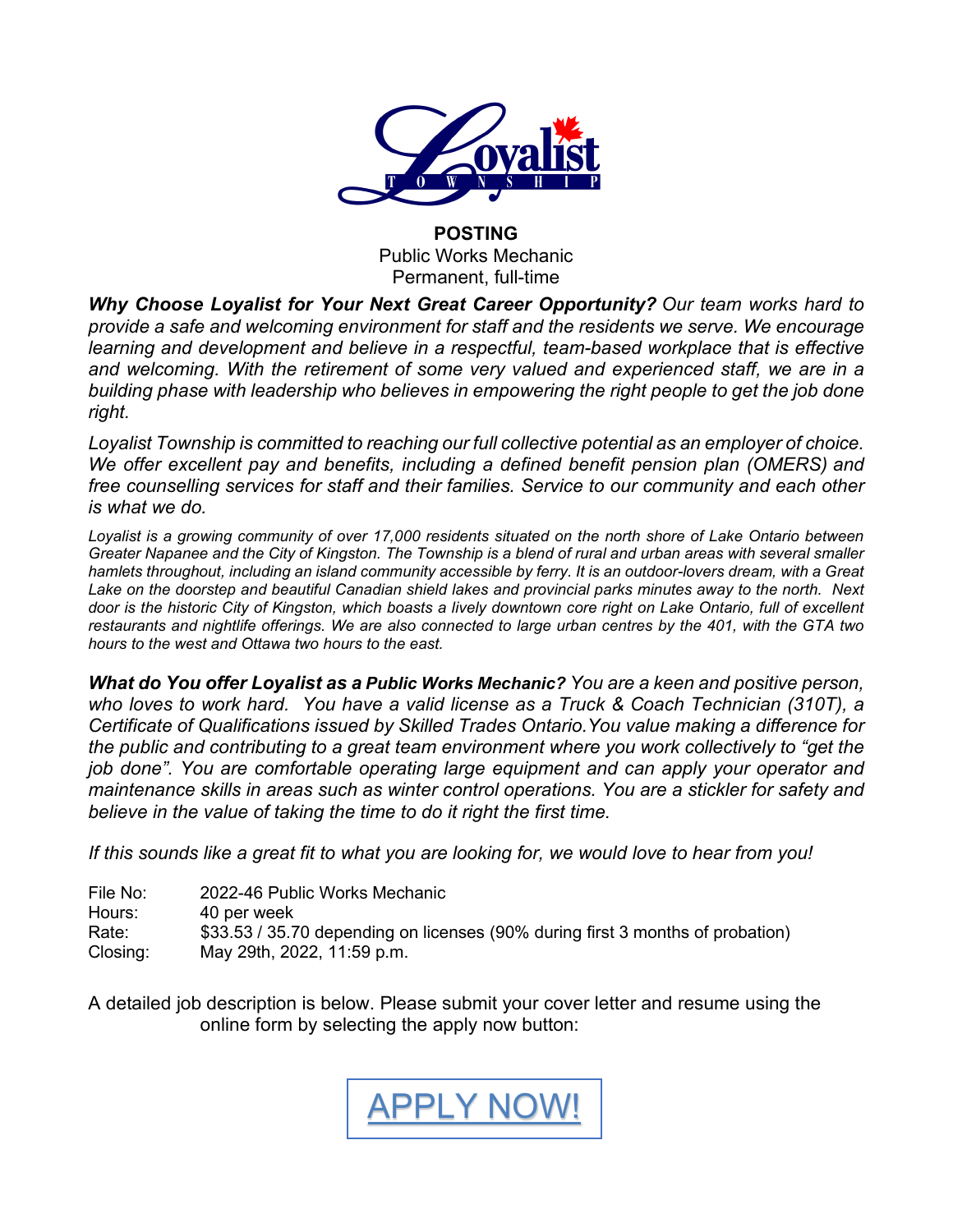

### **POSTING** Public Works Mechanic Permanent, full-time

*Why Choose Loyalist for Your Next Great Career Opportunity? Our team works hard to provide a safe and welcoming environment for staff and the residents we serve. We encourage learning and development and believe in a respectful, team-based workplace that is effective*  and welcoming. With the retirement of some very valued and experienced staff, we are in a *building phase with leadership who believes in empowering the right people to get the job done right.* 

*Loyalist Township is committed to reaching our full collective potential as an employer of choice. We offer excellent pay and benefits, including a defined benefit pension plan (OMERS) and free counselling services for staff and their families. Service to our community and each other is what we do.*

*Loyalist is a growing community of over 17,000 residents situated on the north shore of Lake Ontario between Greater Napanee and the City of Kingston. The Township is a blend of rural and urban areas with several smaller hamlets throughout, including an island community accessible by ferry. It is an outdoor-lovers dream, with a Great Lake on the doorstep and beautiful Canadian shield lakes and provincial parks minutes away to the north. Next door is the historic City of Kingston, which boasts a lively downtown core right on Lake Ontario, full of excellent restaurants and nightlife offerings. We are also connected to large urban centres by the 401, with the GTA two hours to the west and Ottawa two hours to the east.* 

*What do You offer Loyalist as a Public Works Mechanic? You are a keen and positive person, who loves to work hard. You have a valid license as a Truck & Coach Technician (310T), a Certificate of Qualifications issued by Skilled Trades Ontario.You value making a difference for the public and contributing to a great team environment where you work collectively to "get the job done". You are comfortable operating large equipment and can apply your operator and maintenance skills in areas such as winter control operations. You are a stickler for safety and believe in the value of taking the time to do it right the first time.*

*If this sounds like a great fit to what you are looking for, we would love to hear from you!*

| File No: | 2022-46 Public Works Mechanic                                                  |
|----------|--------------------------------------------------------------------------------|
| Hours:   | 40 per week                                                                    |
| Rate:    | \$33.53 / 35.70 depending on licenses (90% during first 3 months of probation) |
| Closing: | May 29th, 2022, 11:59 p.m.                                                     |

A detailed job description is below. Please submit your cover letter and resume using the online form by selecting the apply now button:

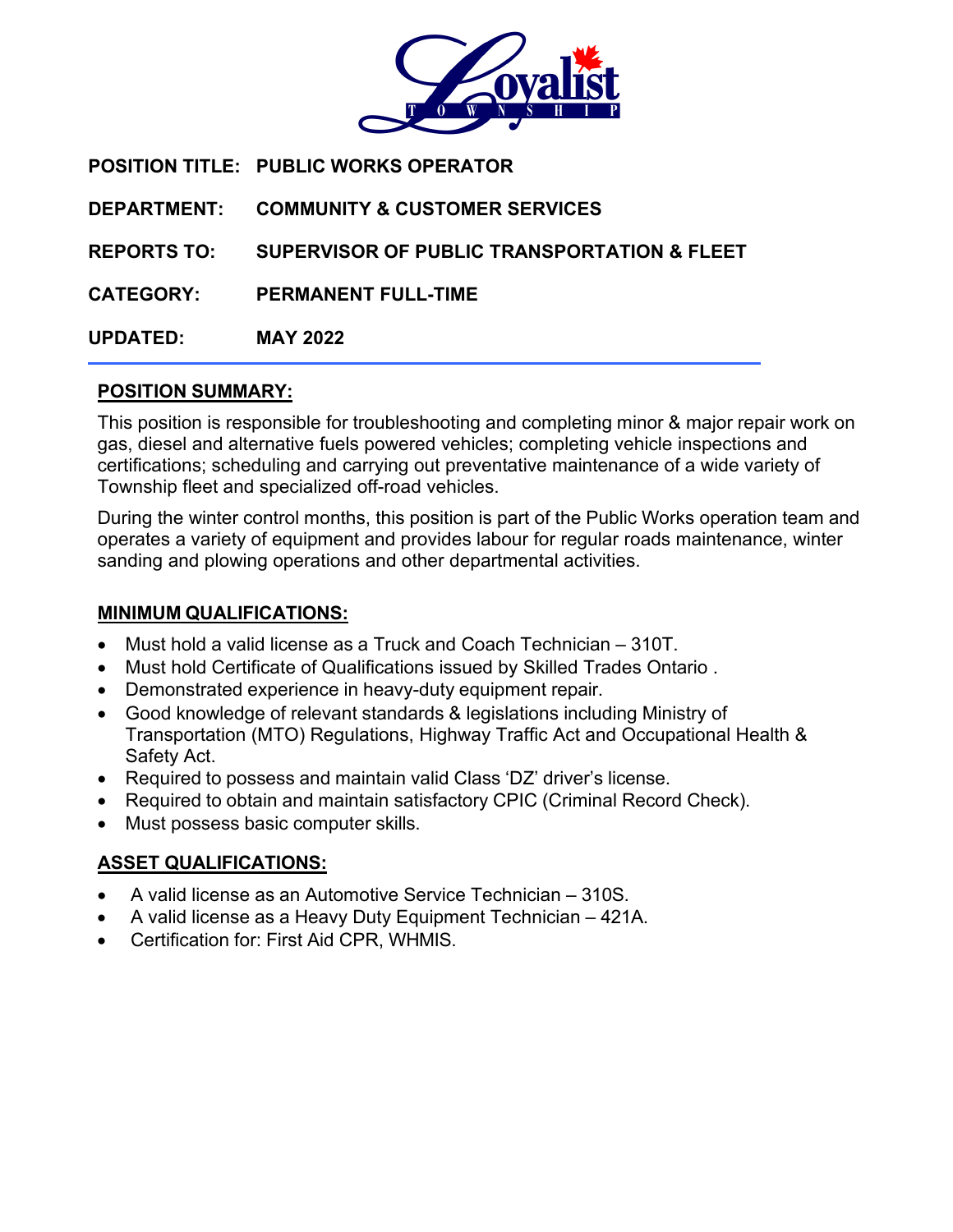

**POSITION TITLE: PUBLIC WORKS OPERATOR DEPARTMENT: COMMUNITY & CUSTOMER SERVICES REPORTS TO: SUPERVISOR OF PUBLIC TRANSPORTATION & FLEET CATEGORY: PERMANENT FULL-TIME UPDATED: MAY 2022**

### **POSITION SUMMARY:**

This position is responsible for troubleshooting and completing minor & major repair work on gas, diesel and alternative fuels powered vehicles; completing vehicle inspections and certifications; scheduling and carrying out preventative maintenance of a wide variety of Township fleet and specialized off-road vehicles.

During the winter control months, this position is part of the Public Works operation team and operates a variety of equipment and provides labour for regular roads maintenance, winter sanding and plowing operations and other departmental activities.

### **MINIMUM QUALIFICATIONS:**

- Must hold a valid license as a Truck and Coach Technician 310T.
- Must hold Certificate of Qualifications issued by Skilled Trades Ontario .
- Demonstrated experience in heavy-duty equipment repair.
- Good knowledge of relevant standards & legislations including Ministry of Transportation (MTO) Regulations, Highway Traffic Act and Occupational Health & Safety Act.
- Required to possess and maintain valid Class 'DZ' driver's license.
- Required to obtain and maintain satisfactory CPIC (Criminal Record Check).
- Must possess basic computer skills.

## **ASSET QUALIFICATIONS:**

- A valid license as an Automotive Service Technician 310S.
- A valid license as a Heavy Duty Equipment Technician 421A.
- Certification for: First Aid CPR, WHMIS.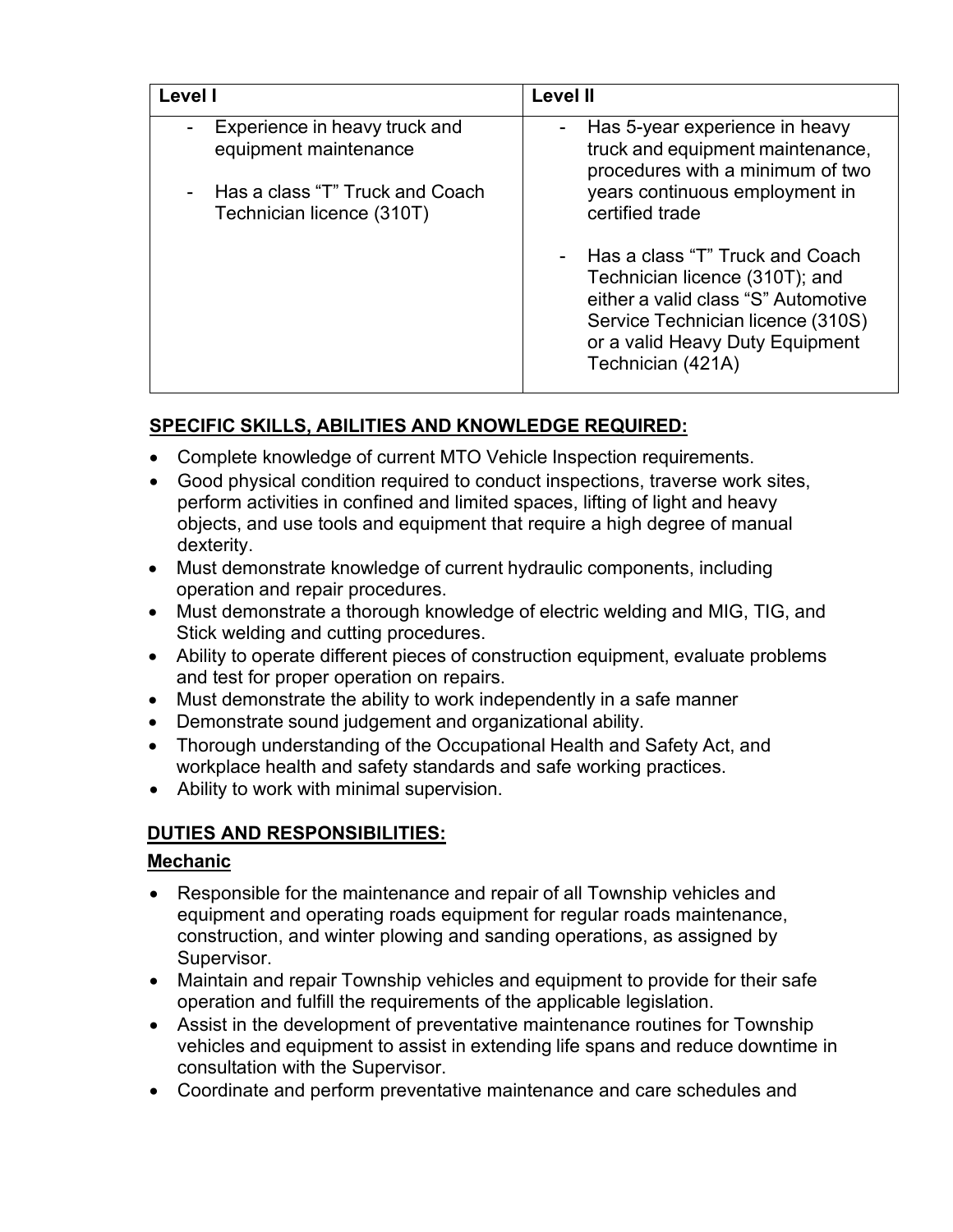| Level I                                                      | <b>Level II</b>                                                                                                                                                                                       |  |  |
|--------------------------------------------------------------|-------------------------------------------------------------------------------------------------------------------------------------------------------------------------------------------------------|--|--|
| Experience in heavy truck and<br>equipment maintenance       | Has 5-year experience in heavy<br>truck and equipment maintenance,<br>procedures with a minimum of two                                                                                                |  |  |
| Has a class "T" Truck and Coach<br>Technician licence (310T) | years continuous employment in<br>certified trade                                                                                                                                                     |  |  |
|                                                              | Has a class "T" Truck and Coach<br>Technician licence (310T); and<br>either a valid class "S" Automotive<br>Service Technician licence (310S)<br>or a valid Heavy Duty Equipment<br>Technician (421A) |  |  |

# **SPECIFIC SKILLS, ABILITIES AND KNOWLEDGE REQUIRED:**

- Complete knowledge of current MTO Vehicle Inspection requirements.
- Good physical condition required to conduct inspections, traverse work sites, perform activities in confined and limited spaces, lifting of light and heavy objects, and use tools and equipment that require a high degree of manual dexterity.
- Must demonstrate knowledge of current hydraulic components, including operation and repair procedures.
- Must demonstrate a thorough knowledge of electric welding and MIG, TIG, and Stick welding and cutting procedures.
- Ability to operate different pieces of construction equipment, evaluate problems and test for proper operation on repairs.
- Must demonstrate the ability to work independently in a safe manner
- Demonstrate sound judgement and organizational ability.
- Thorough understanding of the Occupational Health and Safety Act, and workplace health and safety standards and safe working practices.
- Ability to work with minimal supervision.

## **DUTIES AND RESPONSIBILITIES:**

## **Mechanic**

- Responsible for the maintenance and repair of all Township vehicles and equipment and operating roads equipment for regular roads maintenance, construction, and winter plowing and sanding operations, as assigned by Supervisor.
- Maintain and repair Township vehicles and equipment to provide for their safe operation and fulfill the requirements of the applicable legislation.
- Assist in the development of preventative maintenance routines for Township vehicles and equipment to assist in extending life spans and reduce downtime in consultation with the Supervisor.
- Coordinate and perform preventative maintenance and care schedules and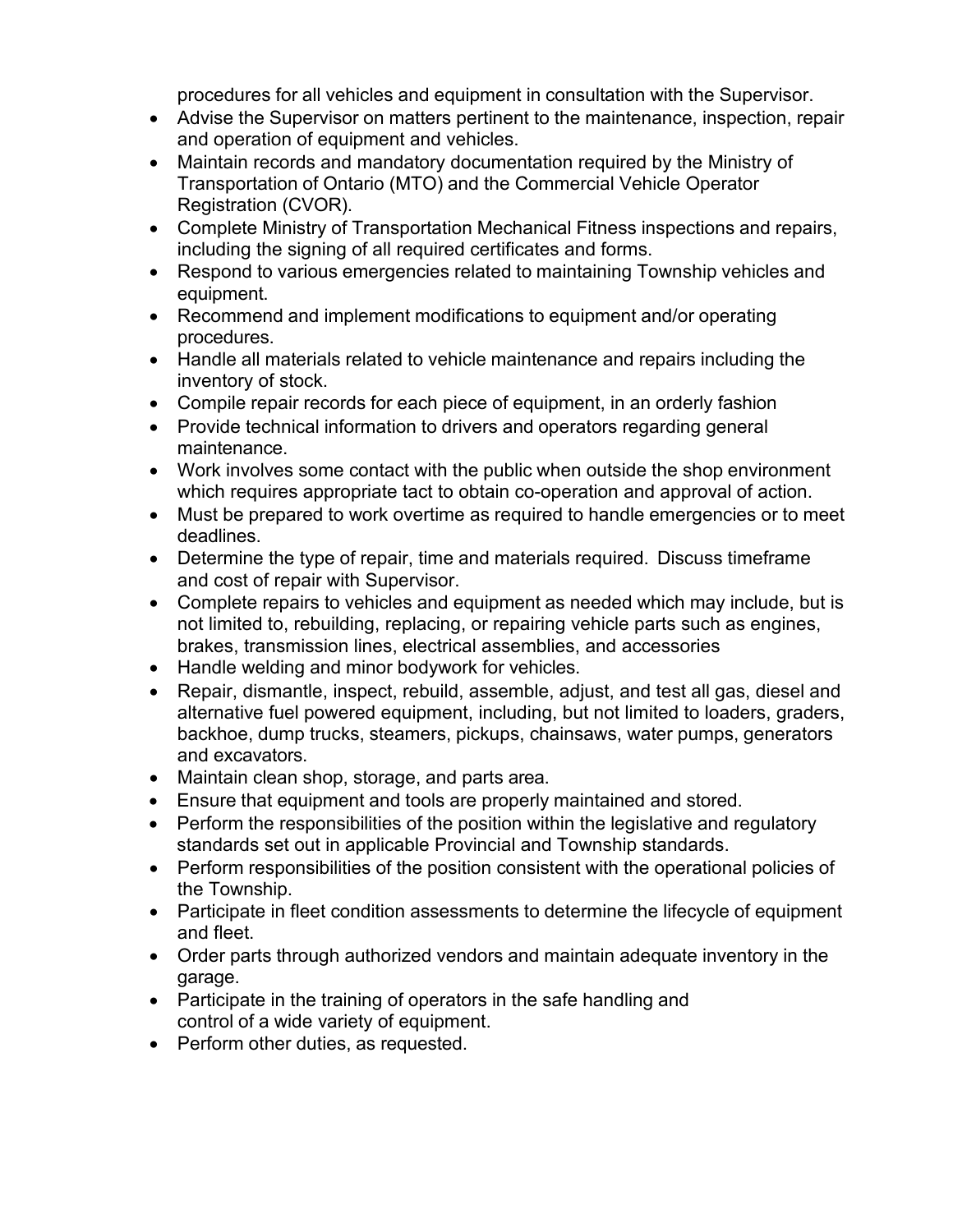procedures for all vehicles and equipment in consultation with the Supervisor.

- Advise the Supervisor on matters pertinent to the maintenance, inspection, repair and operation of equipment and vehicles.
- Maintain records and mandatory documentation required by the Ministry of Transportation of Ontario (MTO) and the Commercial Vehicle Operator Registration (CVOR).
- Complete Ministry of Transportation Mechanical Fitness inspections and repairs, including the signing of all required certificates and forms.
- Respond to various emergencies related to maintaining Township vehicles and equipment.
- Recommend and implement modifications to equipment and/or operating procedures.
- Handle all materials related to vehicle maintenance and repairs including the inventory of stock.
- Compile repair records for each piece of equipment, in an orderly fashion
- Provide technical information to drivers and operators regarding general maintenance.
- Work involves some contact with the public when outside the shop environment which requires appropriate tact to obtain co-operation and approval of action.
- Must be prepared to work overtime as required to handle emergencies or to meet deadlines.
- Determine the type of repair, time and materials required. Discuss timeframe and cost of repair with Supervisor.
- Complete repairs to vehicles and equipment as needed which may include, but is not limited to, rebuilding, replacing, or repairing vehicle parts such as engines, brakes, transmission lines, electrical assemblies, and accessories
- Handle welding and minor bodywork for vehicles.
- Repair, dismantle, inspect, rebuild, assemble, adjust, and test all gas, diesel and alternative fuel powered equipment, including, but not limited to loaders, graders, backhoe, dump trucks, steamers, pickups, chainsaws, water pumps, generators and excavators.
- Maintain clean shop, storage, and parts area.
- Ensure that equipment and tools are properly maintained and stored.
- Perform the responsibilities of the position within the legislative and regulatory standards set out in applicable Provincial and Township standards.
- Perform responsibilities of the position consistent with the operational policies of the Township.
- Participate in fleet condition assessments to determine the lifecycle of equipment and fleet.
- Order parts through authorized vendors and maintain adequate inventory in the garage.
- Participate in the training of operators in the safe handling and control of a wide variety of equipment.
- Perform other duties, as requested.